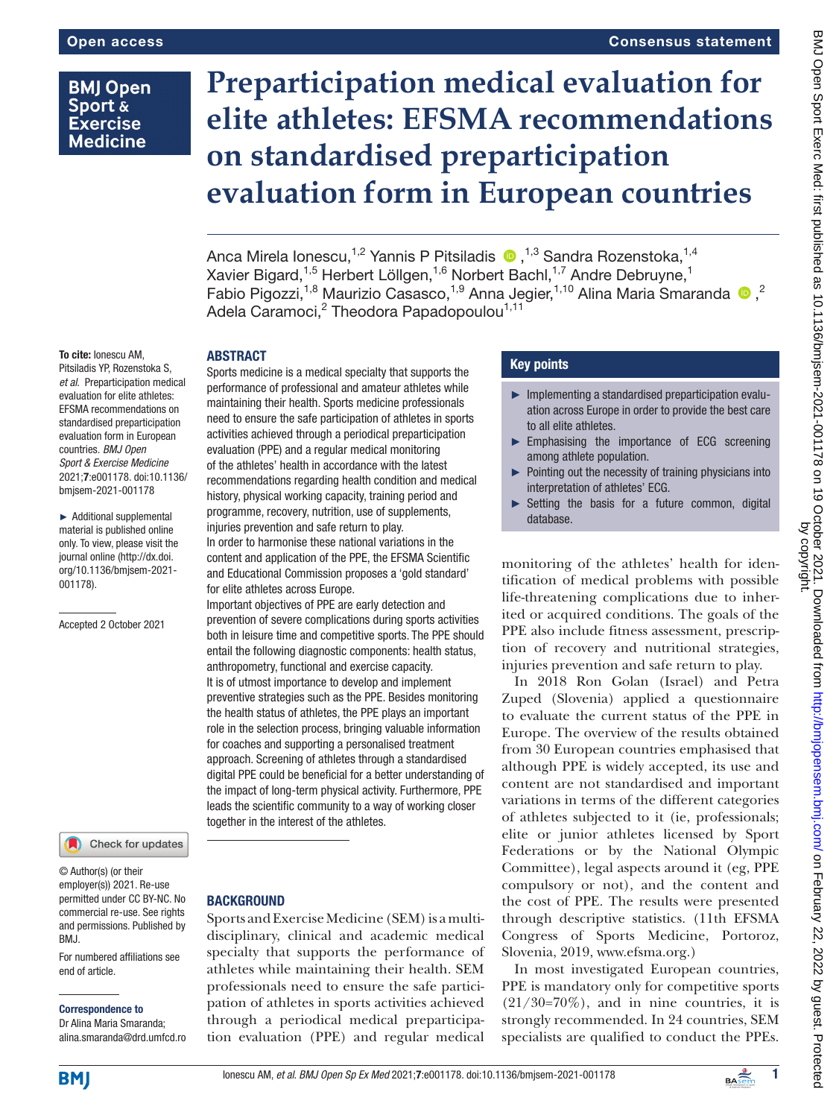# **BMJ Open** Sport & **Exercise Medicine**

# **Preparticipation medical evaluation for elite athletes: EFSMA recommendations on standardised preparticipation evaluation form in European countries**

AncaMirela Ionescu,<sup>1,2</sup> Yannis P Pitsiladis  $\bullet$ ,<sup>1,3</sup> Sandra Rozenstoka,<sup>1,4</sup> Xavier Bigard,<sup>1,5</sup> Herbert Löllgen,<sup>1,6</sup> Norbert Bachl,<sup>1,7</sup> Andre Debruyne,<sup>1</sup> Fabio Pigozzi,<sup>1,8</sup> Maurizio Casasco,<sup>1,9</sup> Anna Jegier,<sup>1,10</sup> Alina Maria Smaranda <sup>10</sup>,<sup>2</sup> Adela Caramoci, $^{\rm 2}$  Theodora Papadopoulou $^{\rm 1,11}$ 

### To cite: Ionescu AM, Pitsiladis YP, Rozenstoka S, *et al*. Preparticipation medical evaluation for elite athletes: EFSMA recommendations on standardised preparticipation evaluation form in European countries. *BMJ Open Sport & Exercise Medicine* 2021;7:e001178. doi:10.1136/ bmjsem-2021-001178

► Additional supplemental material is published online only. To view, please visit the journal online ([http://dx.doi.](http://dx.doi.org/10.1136/bmjsem-2021-001178) [org/10.1136/bmjsem-2021-](http://dx.doi.org/10.1136/bmjsem-2021-001178) [001178](http://dx.doi.org/10.1136/bmjsem-2021-001178)).

Accepted 2 October 2021

## Check for updates

© Author(s) (or their employer(s)) 2021. Re-use permitted under CC BY-NC. No commercial re-use. See rights and permissions. Published by BMJ.

For numbered affiliations see end of article.

## Correspondence to

Dr Alina Maria Smaranda; alina.smaranda@drd.umfcd.ro

# ABSTRACT

Sports medicine is a medical specialty that supports the performance of professional and amateur athletes while maintaining their health. Sports medicine professionals need to ensure the safe participation of athletes in sports activities achieved through a periodical preparticipation evaluation (PPE) and a regular medical monitoring of the athletes' health in accordance with the latest recommendations regarding health condition and medical history, physical working capacity, training period and programme, recovery, nutrition, use of supplements, injuries prevention and safe return to play.

In order to harmonise these national variations in the content and application of the PPE, the EFSMA Scientific and Educational Commission proposes a 'gold standard' for elite athletes across Europe.

Important objectives of PPE are early detection and prevention of severe complications during sports activities both in leisure time and competitive sports. The PPE should entail the following diagnostic components: health status, anthropometry, functional and exercise capacity. It is of utmost importance to develop and implement preventive strategies such as the PPE. Besides monitoring the health status of athletes, the PPE plays an important role in the selection process, bringing valuable information for coaches and supporting a personalised treatment approach. Screening of athletes through a standardised digital PPE could be beneficial for a better understanding of the impact of long-term physical activity. Furthermore, PPE leads the scientific community to a way of working closer together in the interest of the athletes.

# **BACKGROUND**

Sports and Exercise Medicine (SEM) is a multidisciplinary, clinical and academic medical specialty that supports the performance of athletes while maintaining their health. SEM professionals need to ensure the safe participation of athletes in sports activities achieved through a periodical medical preparticipation evaluation (PPE) and regular medical

# Key points

- ► Implementing a standardised preparticipation evaluation across Europe in order to provide the best care to all elite athletes.
- ► Emphasising the importance of ECG screening among athlete population.
- ► Pointing out the necessity of training physicians into interpretation of athletes' ECG.
- $\triangleright$  Setting the basis for a future common, digital database.

monitoring of the athletes' health for identification of medical problems with possible life-threatening complications due to inherited or acquired conditions. The goals of the PPE also include fitness assessment, prescription of recovery and nutritional strategies, injuries prevention and safe return to play.

In 2018 Ron Golan (Israel) and Petra Zuped (Slovenia) applied a questionnaire to evaluate the current status of the PPE in Europe. The overview of the results obtained from 30 European countries emphasised that although PPE is widely accepted, its use and content are not standardised and important variations in terms of the different categories of athletes subjected to it (ie, professionals; elite or junior athletes licensed by Sport Federations or by the National Olympic Committee), legal aspects around it (eg, PPE compulsory or not), and the content and the cost of PPE. The results were presented through descriptive statistics. (11th EFSMA Congress of Sports Medicine, Portoroz, Slovenia, 2019, [www.efsma.org.](https://www.efsma.org/))

In most investigated European countries, PPE is mandatory only for competitive sports  $(21/30=70\%)$ , and in nine countries, it is strongly recommended. In 24 countries, SEM specialists are qualified to conduct the PPEs.

**BMJ** 

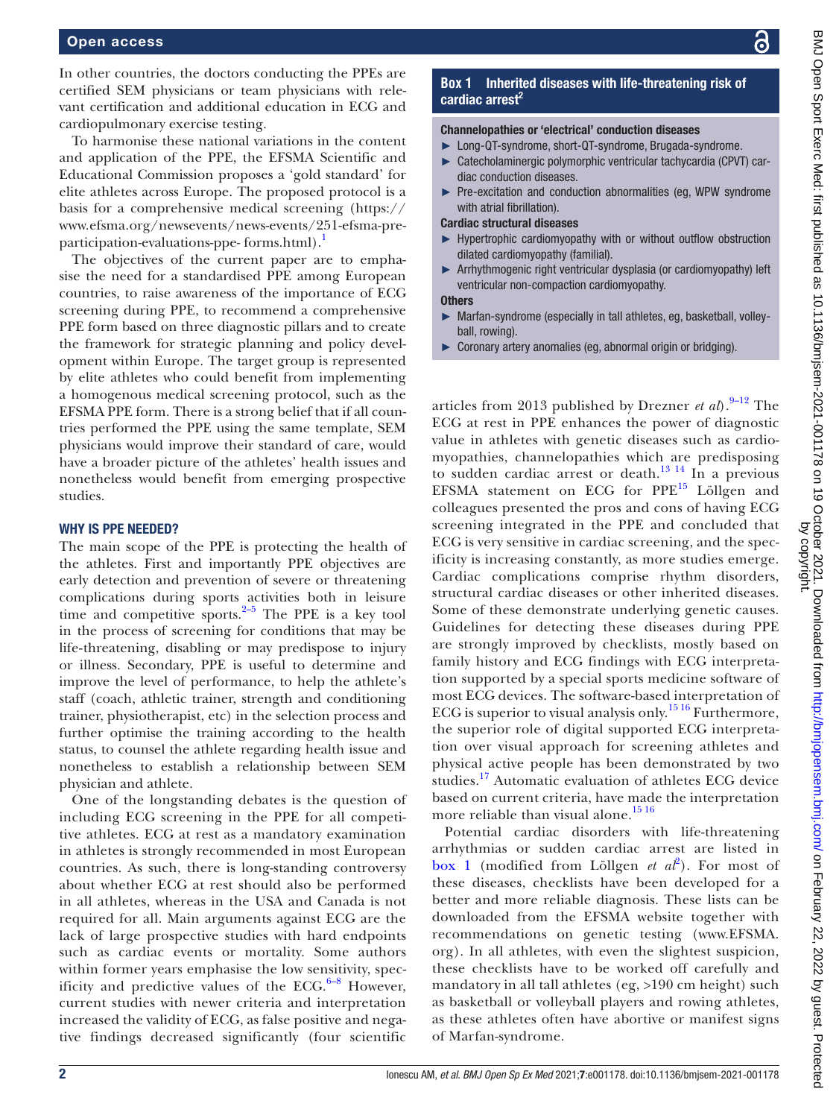In other countries, the doctors conducting the PPEs are certified SEM physicians or team physicians with relevant certification and additional education in ECG and cardiopulmonary exercise testing.

To harmonise these national variations in the content and application of the PPE, the EFSMA Scientific and Educational Commission proposes a 'gold standard' for elite athletes across Europe. The proposed protocol is a basis for a comprehensive medical screening [\(https://](https://www.efsma.org/newsevents/news-events/251-efsma-pre-participation-evaluations-ppe-) [www.efsma.org/newsevents/news-events/251-efsma-pre](https://www.efsma.org/newsevents/news-events/251-efsma-pre-participation-evaluations-ppe-)[participation-evaluations-ppe-](https://www.efsma.org/newsevents/news-events/251-efsma-pre-participation-evaluations-ppe-) [forms.html](https://www.efsma.org/newsevents/news-events/251-efsma-pre-participation-evaluations-ppe-forms.html)).<sup>1</sup>

The objectives of the current paper are to emphasise the need for a standardised PPE among European countries, to raise awareness of the importance of ECG screening during PPE, to recommend a comprehensive PPE form based on three diagnostic pillars and to create the framework for strategic planning and policy development within Europe. The target group is represented by elite athletes who could benefit from implementing a homogenous medical screening protocol, such as the EFSMA PPE form. There is a strong belief that if all countries performed the PPE using the same template, SEM physicians would improve their standard of care, would have a broader picture of the athletes' health issues and nonetheless would benefit from emerging prospective studies.

# WHY IS PPE NEEDED?

The main scope of the PPE is protecting the health of the athletes. First and importantly PPE objectives are early detection and prevention of severe or threatening complications during sports activities both in leisure time and competitive sports. $2-5$  The PPE is a key tool in the process of screening for conditions that may be life‐threatening, disabling or may predispose to injury or illness. Secondary, PPE is useful to determine and improve the level of performance, to help the athlete's staff (coach, athletic trainer, strength and conditioning trainer, physiotherapist, etc) in the selection process and further optimise the training according to the health status, to counsel the athlete regarding health issue and nonetheless to establish a relationship between SEM physician and athlete.

One of the longstanding debates is the question of including ECG screening in the PPE for all competitive athletes. ECG at rest as a mandatory examination in athletes is strongly recommended in most European countries. As such, there is long-standing controversy about whether ECG at rest should also be performed in all athletes, whereas in the USA and Canada is not required for all. Main arguments against ECG are the lack of large prospective studies with hard endpoints such as cardiac events or mortality. Some authors within former years emphasise the low sensitivity, specificity and predictive values of the ECG. $6-8$  However, current studies with newer criteria and interpretation increased the validity of ECG, as false positive and negative findings decreased significantly (four scientific

# **Box 1** Inherited diseases with life-threatening risk of cardiac arrest<sup>2</sup>

## <span id="page-1-0"></span>Channelopathies or 'electrical' conduction diseases

- ► Long-QT-syndrome, short-QT-syndrome, Brugada-syndrome.
- ► Catecholaminergic polymorphic ventricular tachycardia (CPVT) cardiac conduction diseases.
- ► Pre-excitation and conduction abnormalities (eg, WPW syndrome with atrial fibrillation).

## Cardiac structural diseases

- Hypertrophic cardiomyopathy with or without outflow obstruction dilated cardiomyopathy (familial).
- ► Arrhythmogenic right ventricular dysplasia (or cardiomyopathy) left ventricular non-compaction cardiomyopathy.

#### **Others**

- ► Marfan-syndrome (especially in tall athletes, eg, basketball, volleyball, rowing).
- ► Coronary artery anomalies (eg, abnormal origin or bridging).

articles from 2013 published by Drezner *et al*).<sup>[9–12](#page-6-3)</sup> The ECG at rest in PPE enhances the power of diagnostic value in athletes with genetic diseases such as cardiomyopathies, channelopathies which are predisposing to sudden cardiac arrest or death.<sup>[13 14](#page-6-4)</sup> In a previous EFSMA statement on ECG for PPE<sup>[15](#page-6-5)</sup> Löllgen and colleagues presented the pros and cons of having ECG screening integrated in the PPE and concluded that ECG is very sensitive in cardiac screening, and the specificity is increasing constantly, as more studies emerge. Cardiac complications comprise rhythm disorders, structural cardiac diseases or other inherited diseases. Some of these demonstrate underlying genetic causes. Guidelines for detecting these diseases during PPE are strongly improved by checklists, mostly based on family history and ECG findings with ECG interpretation supported by a special sports medicine software of most ECG devices. The software-based interpretation of ECG is superior to visual analysis only.<sup>1516</sup> Furthermore, the superior role of digital supported ECG interpretation over visual approach for screening athletes and physical active people has been demonstrated by two studies.[17](#page-6-6) Automatic evaluation of athletes ECG device based on current criteria, have made the interpretation more reliable than visual alone.<sup>[15 16](#page-6-5)</sup>

Potential cardiac disorders with life-threatening arrhythmias or sudden cardiac arrest are listed in [box](#page-1-0) 1 (modified from Löllgen  $et\ a\ell^2$  $et\ a\ell^2$ ). For most of these diseases, checklists have been developed for a better and more reliable diagnosis. These lists can be downloaded from the EFSMA website together with recommendations on genetic testing ([www.EFSMA.](www.EFSMA.org) [org](www.EFSMA.org)). In all athletes, with even the slightest suspicion, these checklists have to be worked off carefully and mandatory in all tall athletes (eg, >190 cm height) such as basketball or volleyball players and rowing athletes, as these athletes often have abortive or manifest signs of Marfan-syndrome.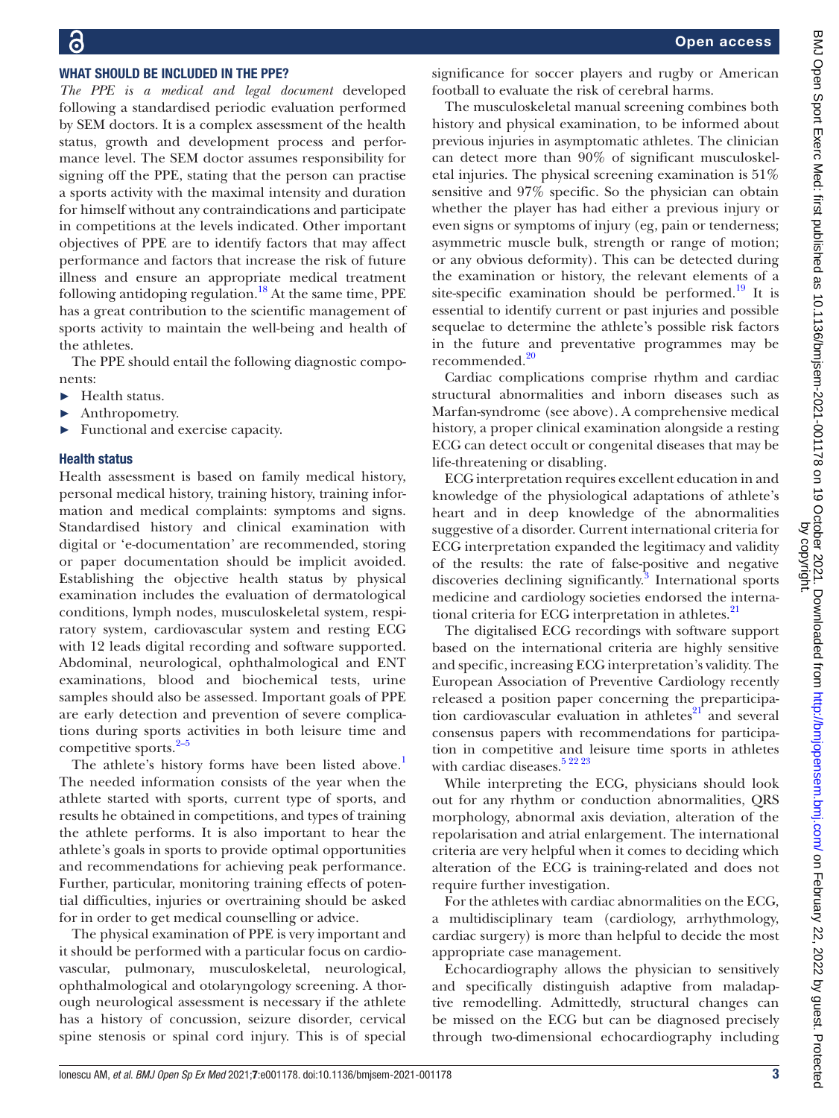# WHAT SHOULD BE INCLUDED IN THE PPE?

*The PPE is a medical and legal document* developed following a standardised periodic evaluation performed by SEM doctors. It is a complex assessment of the health status, growth and development process and performance level. The SEM doctor assumes responsibility for signing off the PPE, stating that the person can practise a sports activity with the maximal intensity and duration for himself without any contraindications and participate in competitions at the levels indicated. Other important objectives of PPE are to identify factors that may affect performance and factors that increase the risk of future illness and ensure an appropriate medical treatment following antidoping regulation.<sup>18</sup> At the same time, PPE has a great contribution to the scientific management of sports activity to maintain the well-being and health of the athletes.

The PPE should entail the following diagnostic components:

- ► Health status.
- Anthropometry.
- ► Functional and exercise capacity.

# Health status

Health assessment is based on family medical history, personal medical history, training history, training information and medical complaints: symptoms and signs. Standardised history and clinical examination with digital or 'e-documentation' are recommended, storing or paper documentation should be implicit avoided. Establishing the objective health status by physical examination includes the evaluation of dermatological conditions, lymph nodes, musculoskeletal system, respiratory system, cardiovascular system and resting ECG with 12 leads digital recording and software supported. Abdominal, neurological, ophthalmological and ENT examinations, blood and biochemical tests, urine samples should also be assessed. Important goals of PPE are early detection and prevention of severe complications during sports activities in both leisure time and competitive sports. $2-5$ 

The athlete's history forms have been listed above.<sup>[1](#page-6-0)</sup> The needed information consists of the year when the athlete started with sports, current type of sports, and results he obtained in competitions, and types of training the athlete performs. It is also important to hear the athlete's goals in sports to provide optimal opportunities and recommendations for achieving peak performance. Further, particular, monitoring training effects of potential difficulties, injuries or overtraining should be asked for in order to get medical counselling or advice.

The physical examination of PPE is very important and it should be performed with a particular focus on cardiovascular, pulmonary, musculoskeletal, neurological, ophthalmological and otolaryngology screening. A thorough neurological assessment is necessary if the athlete has a history of concussion, seizure disorder, cervical spine stenosis or spinal cord injury. This is of special

significance for soccer players and rugby or American football to evaluate the risk of cerebral harms.

The musculoskeletal manual screening combines both history and physical examination, to be informed about previous injuries in asymptomatic athletes. The clinician can detect more than 90% of significant musculoskeletal injuries. The physical screening examination is 51% sensitive and 97% specific. So the physician can obtain whether the player has had either a previous injury or even signs or symptoms of injury (eg, pain or tenderness; asymmetric muscle bulk, strength or range of motion; or any obvious deformity). This can be detected during the examination or history, the relevant elements of a site-specific examination should be performed.<sup>[19](#page-6-8)</sup> It is essential to identify current or past injuries and possible sequelae to determine the athlete's possible risk factors in the future and preventative programmes may be recommended.<sup>20</sup>

Cardiac complications comprise rhythm and cardiac structural abnormalities and inborn diseases such as Marfan-syndrome (see above). A comprehensive medical history, a proper clinical examination alongside a resting ECG can detect occult or congenital diseases that may be life-threatening or disabling.

ECG interpretation requires excellent education in and knowledge of the physiological adaptations of athlete's heart and in deep knowledge of the abnormalities suggestive of a disorder. Current international criteria for ECG interpretation expanded the legitimacy and validity of the results: the rate of false-positive and negative discoveries declining significantly.<sup>[3](#page-6-10)</sup> International sports medicine and cardiology societies endorsed the international criteria for ECG interpretation in athletes.<sup>21</sup>

The digitalised ECG recordings with software support based on the international criteria are highly sensitive and specific, increasing ECG interpretation's validity. The European Association of Preventive Cardiology recently released a position paper concerning the preparticipation cardiovascular evaluation in athletes $^{21}$  and several consensus papers with recommendations for participation in competitive and leisure time sports in athletes with cardiac diseases.<sup>[5 22 23](#page-6-12)</sup>

While interpreting the ECG, physicians should look out for any rhythm or conduction abnormalities, QRS morphology, abnormal axis deviation, alteration of the repolarisation and atrial enlargement. The international criteria are very helpful when it comes to deciding which alteration of the ECG is training-related and does not require further investigation.

For the athletes with cardiac abnormalities on the ECG, a multidisciplinary team (cardiology, arrhythmology, cardiac surgery) is more than helpful to decide the most appropriate case management.

Echocardiography allows the physician to sensitively and specifically distinguish adaptive from maladaptive remodelling. Admittedly, structural changes can be missed on the ECG but can be diagnosed precisely through two-dimensional echocardiography including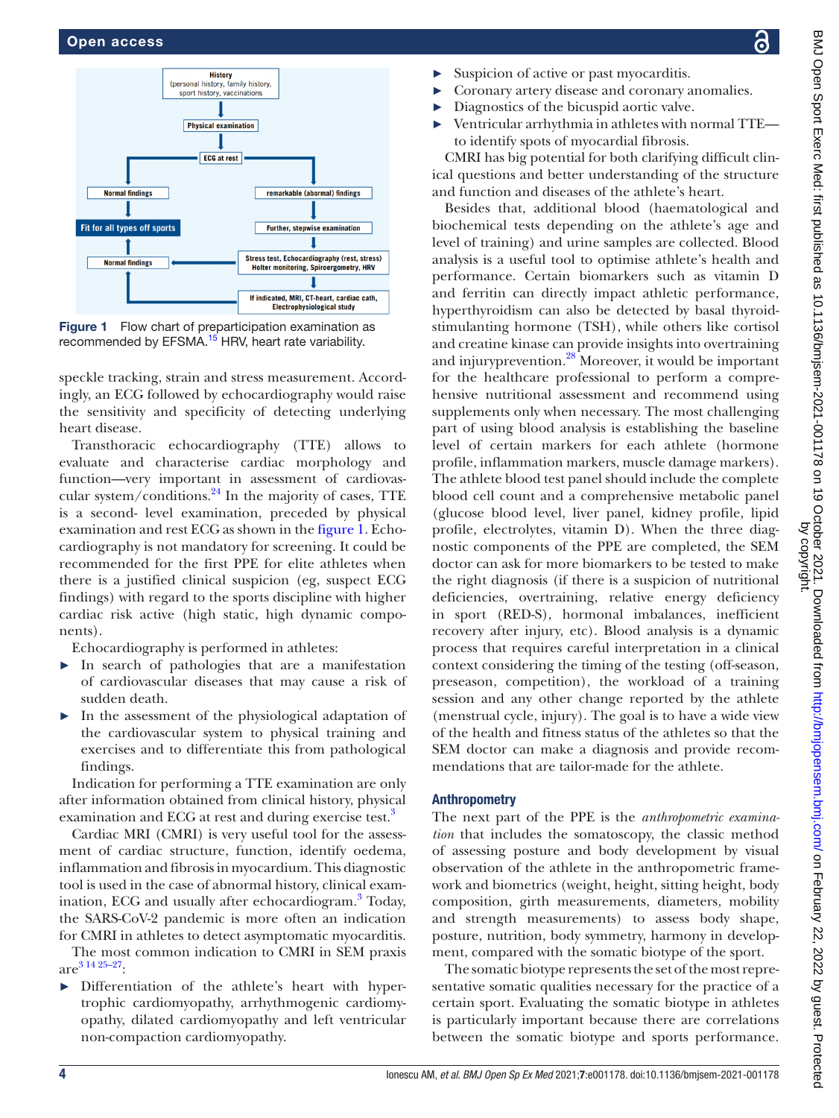

<span id="page-3-0"></span>Figure 1 Flow chart of preparticipation examination as recommended by EFSMA.<sup>15</sup> HRV, heart rate variability.

speckle tracking, strain and stress measurement. Accordingly, an ECG followed by echocardiography would raise the sensitivity and specificity of detecting underlying heart disease.

Transthoracic echocardiography (TTE) allows to evaluate and characterise cardiac morphology and function—very important in assessment of cardiovascular system/conditions. $^{24}$  In the majority of cases, TTE is a second- level examination, preceded by physical examination and rest ECG as shown in the [figure](#page-3-0) 1. Echocardiography is not mandatory for screening. It could be recommended for the first PPE for elite athletes when there is a justified clinical suspicion (eg, suspect ECG findings) with regard to the sports discipline with higher cardiac risk active (high static, high dynamic components).

Echocardiography is performed in athletes:

- ► In search of pathologies that are a manifestation of cardiovascular diseases that may cause a risk of sudden death.
- ► In the assessment of the physiological adaptation of the cardiovascular system to physical training and exercises and to differentiate this from pathological findings.

Indication for performing a TTE examination are only after information obtained from clinical history, physical examination and ECG at rest and during exercise test.<sup>3</sup>

Cardiac MRI (CMRI) is very useful tool for the assessment of cardiac structure, function, identify oedema, inflammation and fibrosis in myocardium. This diagnostic tool is used in the case of abnormal history, clinical exam-ination, ECG and usually after echocardiogram.<sup>[3](#page-6-10)</sup> Today, the SARS-CoV-2 pandemic is more often an indication for CMRI in athletes to detect asymptomatic myocarditis.

The most common indication to CMRI in SEM praxis  $\arctan 31425-27$ :

► Differentiation of the athlete's heart with hypertrophic cardiomyopathy, arrhythmogenic cardiomyopathy, dilated cardiomyopathy and left ventricular non-compaction cardiomyopathy.

- Suspicion of active or past myocarditis.
- ► Coronary artery disease and coronary anomalies.
- Diagnostics of the bicuspid aortic valve.
- ► Ventricular arrhythmia in athletes with normal TTE to identify spots of myocardial fibrosis.

CMRI has big potential for both clarifying difficult clinical questions and better understanding of the structure and function and diseases of the athlete's heart.

Besides that, additional blood (haematological and biochemical tests depending on the athlete's age and level of training) and urine samples are collected. Blood analysis is a useful tool to optimise athlete's health and performance. Certain biomarkers such as vitamin D and ferritin can directly impact athletic performance, hyperthyroidism can also be detected by basal thyroidstimulanting hormone (TSH), while others like cortisol and creatine kinase can provide insights into overtraining and injuryprevention.<sup>28</sup> Moreover, it would be important for the healthcare professional to perform a comprehensive nutritional assessment and recommend using supplements only when necessary. The most challenging part of using blood analysis is establishing the baseline level of certain markers for each athlete (hormone profile, inflammation markers, muscle damage markers). The athlete blood test panel should include the complete blood cell count and a comprehensive metabolic panel (glucose blood level, liver panel, kidney profile, lipid profile, electrolytes, vitamin D). When the three diagnostic components of the PPE are completed, the SEM doctor can ask for more biomarkers to be tested to make the right diagnosis (if there is a suspicion of nutritional deficiencies, overtraining, relative energy deficiency in sport (RED-S), hormonal imbalances, inefficient recovery after injury, etc). Blood analysis is a dynamic process that requires careful interpretation in a clinical context considering the timing of the testing (off-season, preseason, competition), the workload of a training session and any other change reported by the athlete (menstrual cycle, injury). The goal is to have a wide view of the health and fitness status of the athletes so that the SEM doctor can make a diagnosis and provide recommendations that are tailor-made for the athlete.

# Anthropometry

The next part of the PPE is the *anthropometric examination* that includes the somatoscopy, the classic method of assessing posture and body development by visual observation of the athlete in the anthropometric framework and biometrics (weight, height, sitting height, body composition, girth measurements, diameters, mobility and strength measurements) to assess body shape, posture, nutrition, body symmetry, harmony in development, compared with the somatic biotype of the sport.

The somatic biotype represents the set of the most representative somatic qualities necessary for the practice of a certain sport. Evaluating the somatic biotype in athletes is particularly important because there are correlations between the somatic biotype and sports performance.

႕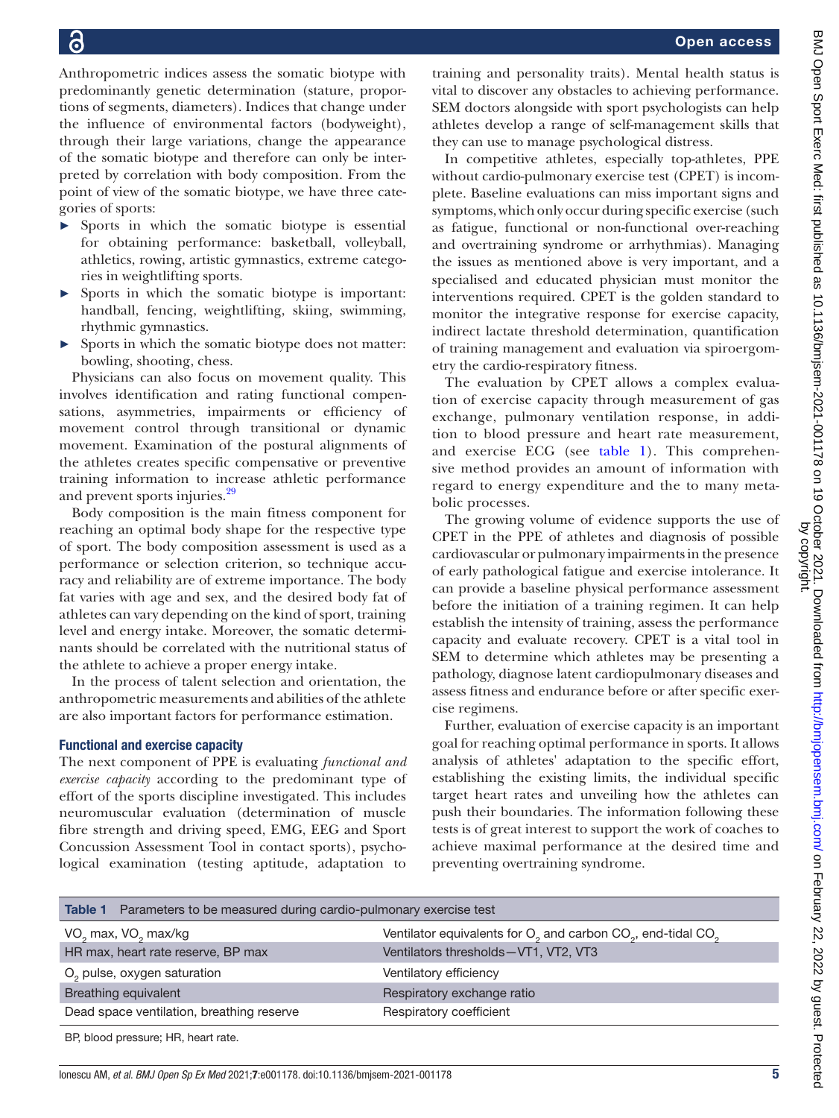Anthropometric indices assess the somatic biotype with predominantly genetic determination (stature, proportions of segments, diameters). Indices that change under the influence of environmental factors (bodyweight), through their large variations, change the appearance of the somatic biotype and therefore can only be interpreted by correlation with body composition. From the point of view of the somatic biotype, we have three categories of sports:

- ► Sports in which the somatic biotype is essential for obtaining performance: basketball, volleyball, athletics, rowing, artistic gymnastics, extreme categories in weightlifting sports.
- ► Sports in which the somatic biotype is important: handball, fencing, weightlifting, skiing, swimming, rhythmic gymnastics.
- ► Sports in which the somatic biotype does not matter: bowling, shooting, chess.

Physicians can also focus on movement quality. This involves identification and rating functional compensations, asymmetries, impairments or efficiency of movement control through transitional or dynamic movement. Examination of the postural alignments of the athletes creates specific compensative or preventive training information to increase athletic performance and prevent sports injuries.<sup>[29](#page-6-15)</sup>

Body composition is the main fitness component for reaching an optimal body shape for the respective type of sport. The body composition assessment is used as a performance or selection criterion, so technique accuracy and reliability are of extreme importance. The body fat varies with age and sex, and the desired body fat of athletes can vary depending on the kind of sport, training level and energy intake. Moreover, the somatic determinants should be correlated with the nutritional status of the athlete to achieve a proper energy intake.

In the process of talent selection and orientation, the anthropometric measurements and abilities of the athlete are also important factors for performance estimation.

# Functional and exercise capacity

The next component of PPE is evaluating *functional and exercise capacity* according to the predominant type of effort of the sports discipline investigated. This includes neuromuscular evaluation (determination of muscle fibre strength and driving speed, EMG, EEG and Sport Concussion Assessment Tool in contact sports), psychological examination (testing aptitude, adaptation to

training and personality traits). Mental health status is vital to discover any obstacles to achieving performance. SEM doctors alongside with sport psychologists can help athletes develop a range of self-management skills that they can use to manage psychological distress.

In competitive athletes, especially top-athletes, PPE without cardio-pulmonary exercise test (CPET) is incomplete. Baseline evaluations can miss important signs and symptoms, which only occur during specific exercise (such as fatigue, functional or non-functional over-reaching and overtraining syndrome or arrhythmias). Managing the issues as mentioned above is very important, and a specialised and educated physician must monitor the interventions required. CPET is the golden standard to monitor the integrative response for exercise capacity, indirect lactate threshold determination, quantification of training management and evaluation via spiroergometry the cardio-respiratory fitness.

The evaluation by CPET allows a complex evaluation of exercise capacity through measurement of gas exchange, pulmonary ventilation response, in addition to blood pressure and heart rate measurement, and exercise ECG (see [table](#page-4-0) 1). This comprehensive method provides an amount of information with regard to energy expenditure and the to many metabolic processes.

The growing volume of evidence supports the use of CPET in the PPE of athletes and diagnosis of possible cardiovascular or pulmonary impairments in the presence of early pathological fatigue and exercise intolerance. It can provide a baseline physical performance assessment before the initiation of a training regimen. It can help establish the intensity of training, assess the performance capacity and evaluate recovery. CPET is a vital tool in SEM to determine which athletes may be presenting a pathology, diagnose latent cardiopulmonary diseases and assess fitness and endurance before or after specific exercise regimens.

Further, evaluation of exercise capacity is an important goal for reaching optimal performance in sports. It allows analysis of athletes' adaptation to the specific effort, establishing the existing limits, the individual specific target heart rates and unveiling how the athletes can push their boundaries. The information following these tests is of great interest to support the work of coaches to achieve maximal performance at the desired time and preventing overtraining syndrome.

<span id="page-4-0"></span>

| <b>Table 1</b> Parameters to be measured during cardio-pulmonary exercise test |                                                                                                  |
|--------------------------------------------------------------------------------|--------------------------------------------------------------------------------------------------|
| VO <sub>2</sub> max, VO <sub>2</sub> max/kg                                    | Ventilator equivalents for O <sub>2</sub> and carbon CO <sub>2</sub> , end-tidal CO <sub>2</sub> |
| HR max, heart rate reserve, BP max                                             | Ventilators thresholds-VT1, VT2, VT3                                                             |
| O <sub>2</sub> pulse, oxygen saturation                                        | Ventilatory efficiency                                                                           |
| Breathing equivalent                                                           | Respiratory exchange ratio                                                                       |
| Dead space ventilation, breathing reserve                                      | Respiratory coefficient                                                                          |
| BP, blood pressure; HR, heart rate.                                            |                                                                                                  |

by copyright.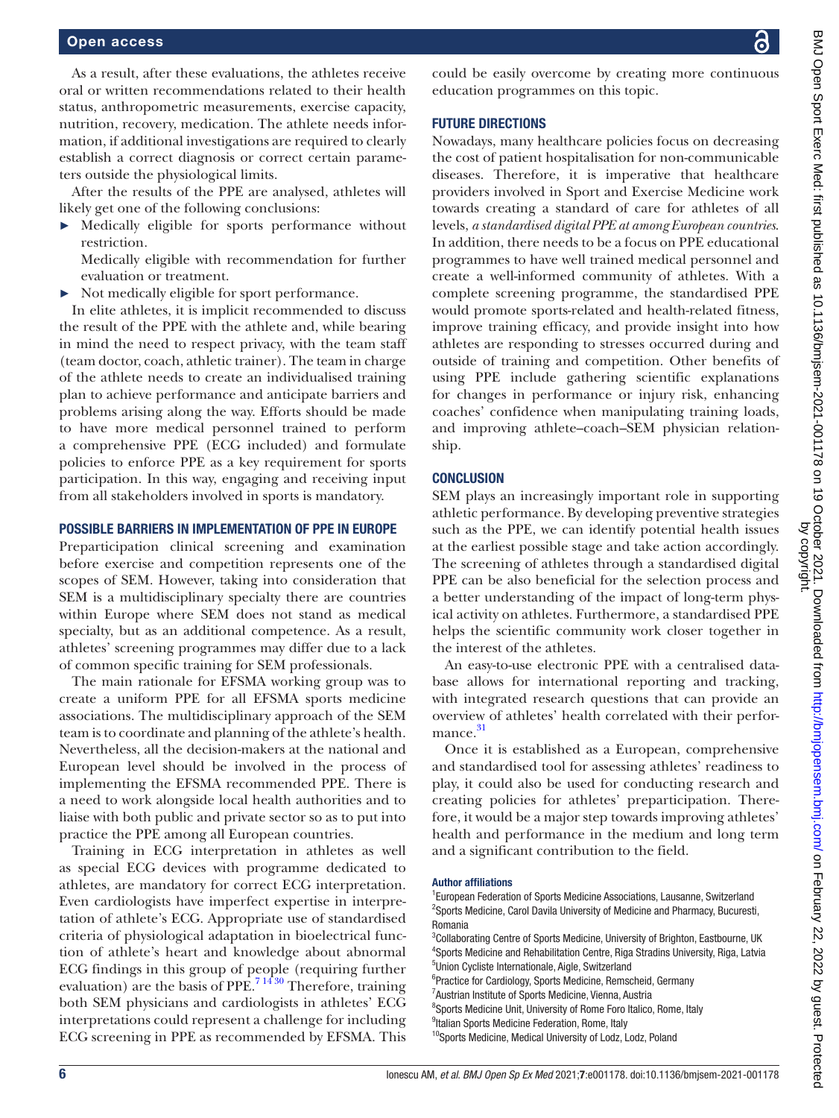## Open access

As a result, after these evaluations, the athletes receive oral or written recommendations related to their health status, anthropometric measurements, exercise capacity, nutrition, recovery, medication. The athlete needs information, if additional investigations are required to clearly establish a correct diagnosis or correct certain parameters outside the physiological limits.

After the results of the PPE are analysed, athletes will likely get one of the following conclusions:

► Medically eligible for sports performance without restriction.

Medically eligible with recommendation for further evaluation or treatment.

► Not medically eligible for sport performance.

In elite athletes, it is implicit recommended to discuss the result of the PPE with the athlete and, while bearing in mind the need to respect privacy, with the team staff (team doctor, coach, athletic trainer). The team in charge of the athlete needs to create an individualised training plan to achieve performance and anticipate barriers and problems arising along the way. Efforts should be made to have more medical personnel trained to perform a comprehensive PPE (ECG included) and formulate policies to enforce PPE as a key requirement for sports participation. In this way, engaging and receiving input from all stakeholders involved in sports is mandatory.

# POSSIBLE BARRIERS IN IMPLEMENTATION OF PPE IN EUROPE

Preparticipation clinical screening and examination before exercise and competition represents one of the scopes of SEM. However, taking into consideration that SEM is a multidisciplinary specialty there are countries within Europe where SEM does not stand as medical specialty, but as an additional competence. As a result, athletes' screening programmes may differ due to a lack of common specific training for SEM professionals.

The main rationale for EFSMA working group was to create a uniform PPE for all EFSMA sports medicine associations. The multidisciplinary approach of the SEM team is to coordinate and planning of the athlete's health. Nevertheless, all the decision-makers at the national and European level should be involved in the process of implementing the EFSMA recommended PPE. There is a need to work alongside local health authorities and to liaise with both public and private sector so as to put into practice the PPE among all European countries.

Training in ECG interpretation in athletes as well as special ECG devices with programme dedicated to athletes, are mandatory for correct ECG interpretation. Even cardiologists have imperfect expertise in interpretation of athlete's ECG. Appropriate use of standardised criteria of physiological adaptation in bioelectrical function of athlete's heart and knowledge about abnormal ECG findings in this group of people (requiring further evaluation) are the basis of PPE.<sup>71430</sup> Therefore, training both SEM physicians and cardiologists in athletes' ECG interpretations could represent a challenge for including ECG screening in PPE as recommended by EFSMA. This

could be easily overcome by creating more continuous education programmes on this topic.

# FUTURE DIRECTIONS

Nowadays, many healthcare policies focus on decreasing the cost of patient hospitalisation for non-communicable diseases. Therefore, it is imperative that healthcare providers involved in Sport and Exercise Medicine work towards creating a standard of care for athletes of all levels, *a standardised digital PPE at among European countries*. In addition, there needs to be a focus on PPE educational programmes to have well trained medical personnel and create a well-informed community of athletes. With a complete screening programme, the standardised PPE would promote sports-related and health-related fitness, improve training efficacy, and provide insight into how athletes are responding to stresses occurred during and outside of training and competition. Other benefits of using PPE include gathering scientific explanations for changes in performance or injury risk, enhancing coaches' confidence when manipulating training loads, and improving athlete–coach–SEM physician relationship.

## **CONCLUSION**

SEM plays an increasingly important role in supporting athletic performance. By developing preventive strategies such as the PPE, we can identify potential health issues at the earliest possible stage and take action accordingly. The screening of athletes through a standardised digital PPE can be also beneficial for the selection process and a better understanding of the impact of long-term physical activity on athletes. Furthermore, a standardised PPE helps the scientific community work closer together in the interest of the athletes.

An easy-to-use electronic PPE with a centralised database allows for international reporting and tracking, with integrated research questions that can provide an overview of athletes' health correlated with their performance. [31](#page-6-17)

Once it is established as a European, comprehensive and standardised tool for assessing athletes' readiness to play, it could also be used for conducting research and creating policies for athletes' preparticipation. Therefore, it would be a major step towards improving athletes' health and performance in the medium and long term and a significant contribution to the field.

### Author affiliations

## <sup>1</sup> European Federation of Sports Medicine Associations, Lausanne, Switzerland <sup>2</sup>Sports Medicine, Carol Davila University of Medicine and Pharmacy, Bucuresti, Romania

<sup>3</sup>Collaborating Centre of Sports Medicine, University of Brighton, Eastbourne, UK 4 Sports Medicine and Rehabilitation Centre, Riga Stradins University, Riga, Latvia 5 Union Cycliste Internationale, Aigle, Switzerland <sup>6</sup> Practice for Cardiology, Sports Medicine, Remscheid, Germany

- <sup>7</sup> Austrian Institute of Sports Medicine, Vienna, Austria
- <sup>8</sup>Sports Medicine Unit, University of Rome Foro Italico, Rome, Italy
- <sup>9</sup>Italian Sports Medicine Federation, Rome, Italy

<sup>&</sup>lt;sup>10</sup>Sports Medicine, Medical University of Lodz, Lodz, Poland